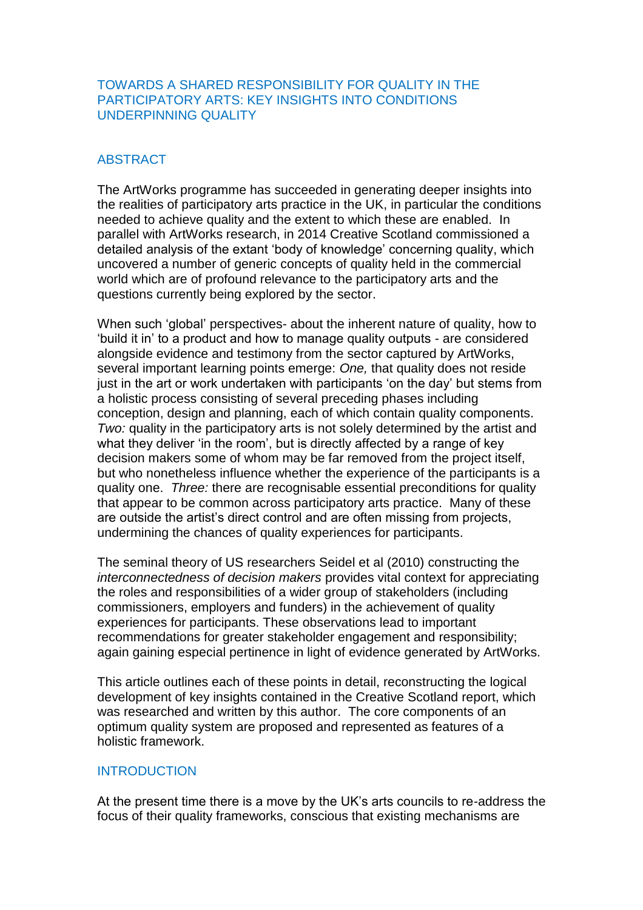## TOWARDS A SHARED RESPONSIBILITY FOR QUALITY IN THE PARTICIPATORY ARTS: KEY INSIGHTS INTO CONDITIONS UNDERPINNING QUALITY

## ABSTRACT

The ArtWorks programme has succeeded in generating deeper insights into the realities of participatory arts practice in the UK, in particular the conditions needed to achieve quality and the extent to which these are enabled. In parallel with ArtWorks research, in 2014 Creative Scotland commissioned a detailed analysis of the extant 'body of knowledge' concerning quality, which uncovered a number of generic concepts of quality held in the commercial world which are of profound relevance to the participatory arts and the questions currently being explored by the sector.

When such 'global' perspectives- about the inherent nature of quality, how to 'build it in' to a product and how to manage quality outputs - are considered alongside evidence and testimony from the sector captured by ArtWorks, several important learning points emerge: *One,* that quality does not reside just in the art or work undertaken with participants 'on the day' but stems from a holistic process consisting of several preceding phases including conception, design and planning, each of which contain quality components. *Two:* quality in the participatory arts is not solely determined by the artist and what they deliver 'in the room', but is directly affected by a range of key decision makers some of whom may be far removed from the project itself, but who nonetheless influence whether the experience of the participants is a quality one. *Three:* there are recognisable essential preconditions for quality that appear to be common across participatory arts practice. Many of these are outside the artist's direct control and are often missing from projects, undermining the chances of quality experiences for participants.

The seminal theory of US researchers Seidel et al (2010) constructing the *interconnectedness of decision makers* provides vital context for appreciating the roles and responsibilities of a wider group of stakeholders (including commissioners, employers and funders) in the achievement of quality experiences for participants. These observations lead to important recommendations for greater stakeholder engagement and responsibility; again gaining especial pertinence in light of evidence generated by ArtWorks.

This article outlines each of these points in detail, reconstructing the logical development of key insights contained in the Creative Scotland report, which was researched and written by this author. The core components of an optimum quality system are proposed and represented as features of a holistic framework.

## INTRODUCTION

At the present time there is a move by the UK's arts councils to re-address the focus of their quality frameworks, conscious that existing mechanisms are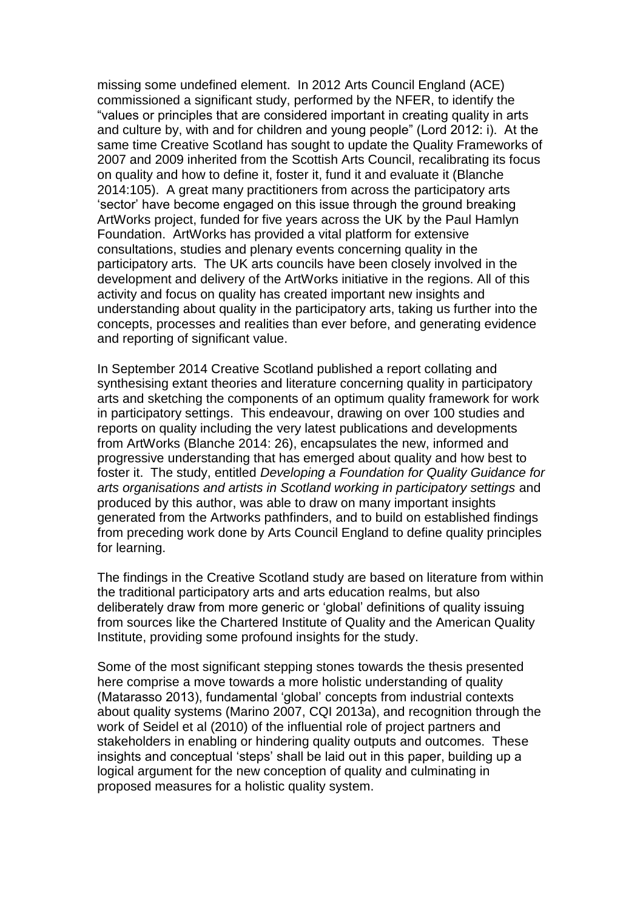missing some undefined element. In 2012 Arts Council England (ACE) commissioned a significant study, performed by the NFER, to identify the "values or principles that are considered important in creating quality in arts and culture by, with and for children and young people" (Lord 2012: i). At the same time Creative Scotland has sought to update the Quality Frameworks of 2007 and 2009 inherited from the Scottish Arts Council, recalibrating its focus on quality and how to define it, foster it, fund it and evaluate it (Blanche 2014:105). A great many practitioners from across the participatory arts 'sector' have become engaged on this issue through the ground breaking ArtWorks project, funded for five years across the UK by the Paul Hamlyn Foundation. ArtWorks has provided a vital platform for extensive consultations, studies and plenary events concerning quality in the participatory arts. The UK arts councils have been closely involved in the development and delivery of the ArtWorks initiative in the regions. All of this activity and focus on quality has created important new insights and understanding about quality in the participatory arts, taking us further into the concepts, processes and realities than ever before, and generating evidence and reporting of significant value.

In September 2014 Creative Scotland published a report collating and synthesising extant theories and literature concerning quality in participatory arts and sketching the components of an optimum quality framework for work in participatory settings. This endeavour, drawing on over 100 studies and reports on quality including the very latest publications and developments from ArtWorks (Blanche 2014: 26), encapsulates the new, informed and progressive understanding that has emerged about quality and how best to foster it. The study, entitled *Developing a Foundation for Quality Guidance for arts organisations and artists in Scotland working in participatory settings* and produced by this author, was able to draw on many important insights generated from the Artworks pathfinders, and to build on established findings from preceding work done by Arts Council England to define quality principles for learning.

The findings in the Creative Scotland study are based on literature from within the traditional participatory arts and arts education realms, but also deliberately draw from more generic or 'global' definitions of quality issuing from sources like the Chartered Institute of Quality and the American Quality Institute, providing some profound insights for the study.

Some of the most significant stepping stones towards the thesis presented here comprise a move towards a more holistic understanding of quality (Matarasso 2013), fundamental 'global' concepts from industrial contexts about quality systems (Marino 2007, CQI 2013a), and recognition through the work of Seidel et al (2010) of the influential role of project partners and stakeholders in enabling or hindering quality outputs and outcomes. These insights and conceptual 'steps' shall be laid out in this paper, building up a logical argument for the new conception of quality and culminating in proposed measures for a holistic quality system.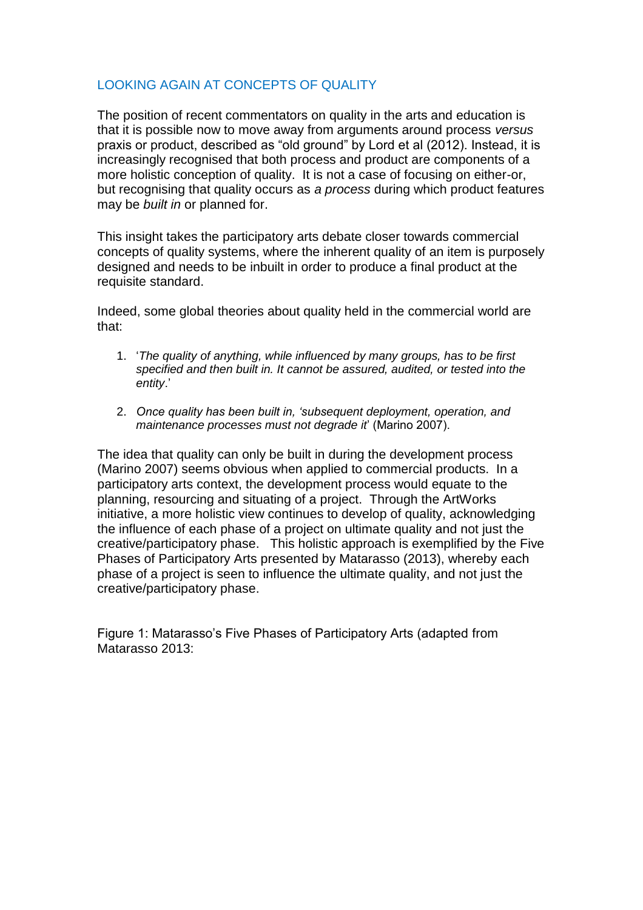# LOOKING AGAIN AT CONCEPTS OF QUALITY

The position of recent commentators on quality in the arts and education is that it is possible now to move away from arguments around process *versus* praxis or product, described as "old ground" by Lord et al (2012). Instead, it is increasingly recognised that both process and product are components of a more holistic conception of quality. It is not a case of focusing on either-or, but recognising that quality occurs as *a process* during which product features may be *built in* or planned for.

This insight takes the participatory arts debate closer towards commercial concepts of quality systems, where the inherent quality of an item is purposely designed and needs to be inbuilt in order to produce a final product at the requisite standard.

Indeed, some global theories about quality held in the commercial world are that:

- 1. '*The quality of anything, while influenced by many groups, has to be first specified and then built in. It cannot be assured, audited, or tested into the entity*.'
- 2. *Once quality has been built in, 'subsequent deployment, operation, and maintenance processes must not degrade it*' (Marino 2007).

The idea that quality can only be built in during the development process (Marino 2007) seems obvious when applied to commercial products. In a participatory arts context, the development process would equate to the planning, resourcing and situating of a project. Through the ArtWorks initiative, a more holistic view continues to develop of quality, acknowledging the influence of each phase of a project on ultimate quality and not just the creative/participatory phase. This holistic approach is exemplified by the Five Phases of Participatory Arts presented by Matarasso (2013), whereby each phase of a project is seen to influence the ultimate quality, and not just the creative/participatory phase.

Figure 1: Matarasso's Five Phases of Participatory Arts (adapted from Matarasso 2013: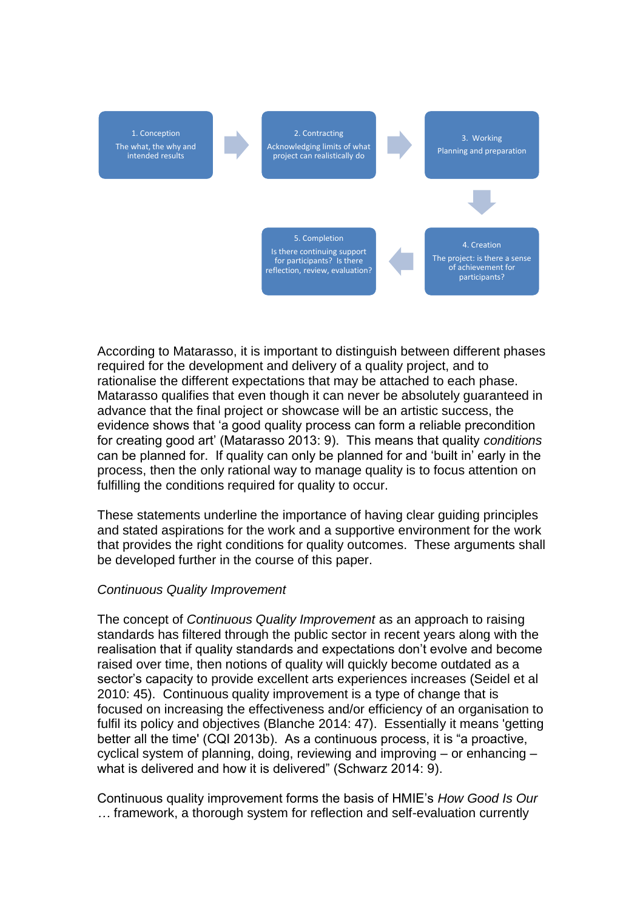

According to Matarasso, it is important to distinguish between different phases required for the development and delivery of a quality project, and to rationalise the different expectations that may be attached to each phase. Matarasso qualifies that even though it can never be absolutely guaranteed in advance that the final project or showcase will be an artistic success, the evidence shows that 'a good quality process can form a reliable precondition for creating good art' (Matarasso 2013: 9). This means that quality *conditions* can be planned for. If quality can only be planned for and 'built in' early in the process, then the only rational way to manage quality is to focus attention on fulfilling the conditions required for quality to occur.

These statements underline the importance of having clear guiding principles and stated aspirations for the work and a supportive environment for the work that provides the right conditions for quality outcomes. These arguments shall be developed further in the course of this paper.

### *Continuous Quality Improvement*

The concept of *Continuous Quality Improvement* as an approach to raising standards has filtered through the public sector in recent years along with the realisation that if quality standards and expectations don't evolve and become raised over time, then notions of quality will quickly become outdated as a sector's capacity to provide excellent arts experiences increases (Seidel et al 2010: 45). Continuous quality improvement is a type of change that is focused on increasing the effectiveness and/or efficiency of an organisation to fulfil its policy and objectives (Blanche 2014: 47). Essentially it means 'getting better all the time' (CQI 2013b). As a continuous process, it is "a proactive, cyclical system of planning, doing, reviewing and improving – or enhancing – what is delivered and how it is delivered" (Schwarz 2014: 9).

Continuous quality improvement forms the basis of HMIE's *How Good Is Our …* framework, a thorough system for reflection and self-evaluation currently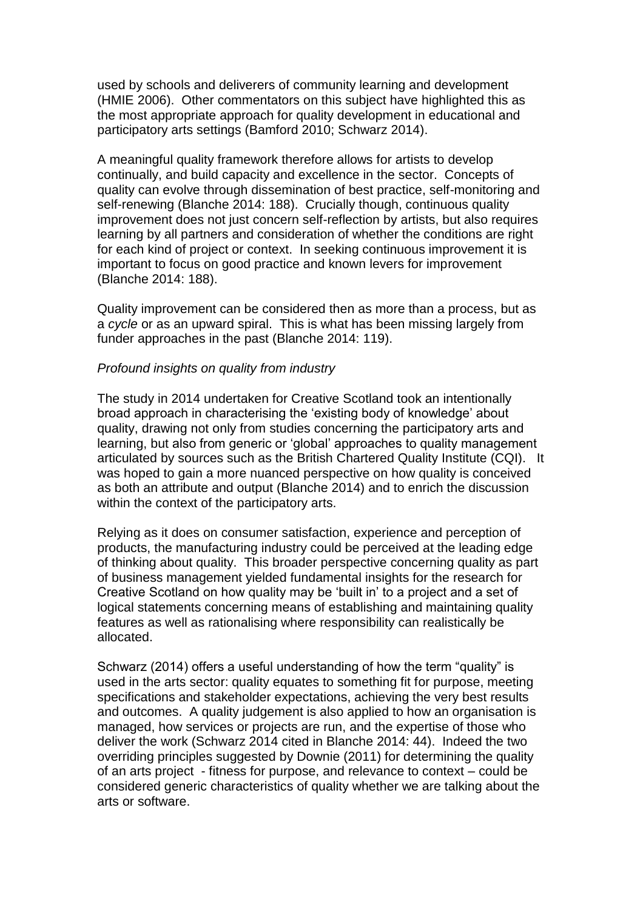used by schools and deliverers of community learning and development (HMIE 2006). Other commentators on this subject have highlighted this as the most appropriate approach for quality development in educational and participatory arts settings (Bamford 2010; Schwarz 2014).

A meaningful quality framework therefore allows for artists to develop continually, and build capacity and excellence in the sector. Concepts of quality can evolve through dissemination of best practice, self-monitoring and self-renewing (Blanche 2014: 188). Crucially though, continuous quality improvement does not just concern self-reflection by artists, but also requires learning by all partners and consideration of whether the conditions are right for each kind of project or context. In seeking continuous improvement it is important to focus on good practice and known levers for improvement (Blanche 2014: 188).

Quality improvement can be considered then as more than a process, but as a *cycle* or as an upward spiral. This is what has been missing largely from funder approaches in the past (Blanche 2014: 119).

#### *Profound insights on quality from industry*

The study in 2014 undertaken for Creative Scotland took an intentionally broad approach in characterising the 'existing body of knowledge' about quality, drawing not only from studies concerning the participatory arts and learning, but also from generic or 'global' approaches to quality management articulated by sources such as the British Chartered Quality Institute (CQI). It was hoped to gain a more nuanced perspective on how quality is conceived as both an attribute and output (Blanche 2014) and to enrich the discussion within the context of the participatory arts.

Relying as it does on consumer satisfaction, experience and perception of products, the manufacturing industry could be perceived at the leading edge of thinking about quality. This broader perspective concerning quality as part of business management yielded fundamental insights for the research for Creative Scotland on how quality may be 'built in' to a project and a set of logical statements concerning means of establishing and maintaining quality features as well as rationalising where responsibility can realistically be allocated.

Schwarz (2014) offers a useful understanding of how the term "quality" is used in the arts sector: quality equates to something fit for purpose, meeting specifications and stakeholder expectations, achieving the very best results and outcomes. A quality judgement is also applied to how an organisation is managed, how services or projects are run, and the expertise of those who deliver the work (Schwarz 2014 cited in Blanche 2014: 44). Indeed the two overriding principles suggested by Downie (2011) for determining the quality of an arts project - fitness for purpose, and relevance to context – could be considered generic characteristics of quality whether we are talking about the arts or software.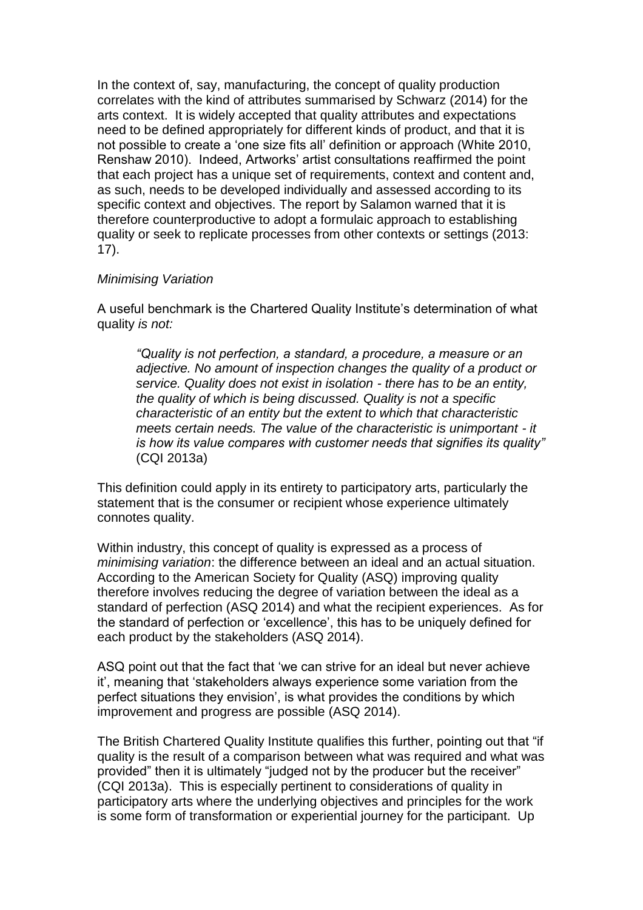In the context of, say, manufacturing, the concept of quality production correlates with the kind of attributes summarised by Schwarz (2014) for the arts context. It is widely accepted that quality attributes and expectations need to be defined appropriately for different kinds of product, and that it is not possible to create a 'one size fits all' definition or approach (White 2010, Renshaw 2010). Indeed, Artworks' artist consultations reaffirmed the point that each project has a unique set of requirements, context and content and, as such, needs to be developed individually and assessed according to its specific context and objectives. The report by Salamon warned that it is therefore counterproductive to adopt a formulaic approach to establishing quality or seek to replicate processes from other contexts or settings (2013: 17).

### *Minimising Variation*

A useful benchmark is the Chartered Quality Institute's determination of what quality *is not:*

*"Quality is not perfection, a standard, a procedure, a measure or an adjective. No amount of inspection changes the quality of a product or service. Quality does not exist in isolation - there has to be an entity, the quality of which is being discussed. Quality is not a specific characteristic of an entity but the extent to which that characteristic meets certain needs. The value of the characteristic is unimportant - it is how its value compares with customer needs that signifies its quality"*  (CQI 2013a)

This definition could apply in its entirety to participatory arts, particularly the statement that is the consumer or recipient whose experience ultimately connotes quality.

Within industry, this concept of quality is expressed as a process of *minimising variation*: the difference between an ideal and an actual situation. According to the American Society for Quality (ASQ) improving quality therefore involves reducing the degree of variation between the ideal as a standard of perfection (ASQ 2014) and what the recipient experiences. As for the standard of perfection or 'excellence', this has to be uniquely defined for each product by the stakeholders (ASQ 2014).

ASQ point out that the fact that 'we can strive for an ideal but never achieve it', meaning that 'stakeholders always experience some variation from the perfect situations they envision', is what provides the conditions by which improvement and progress are possible (ASQ 2014).

The British Chartered Quality Institute qualifies this further, pointing out that "if quality is the result of a comparison between what was required and what was provided" then it is ultimately "judged not by the producer but the receiver" (CQI 2013a). This is especially pertinent to considerations of quality in participatory arts where the underlying objectives and principles for the work is some form of transformation or experiential journey for the participant. Up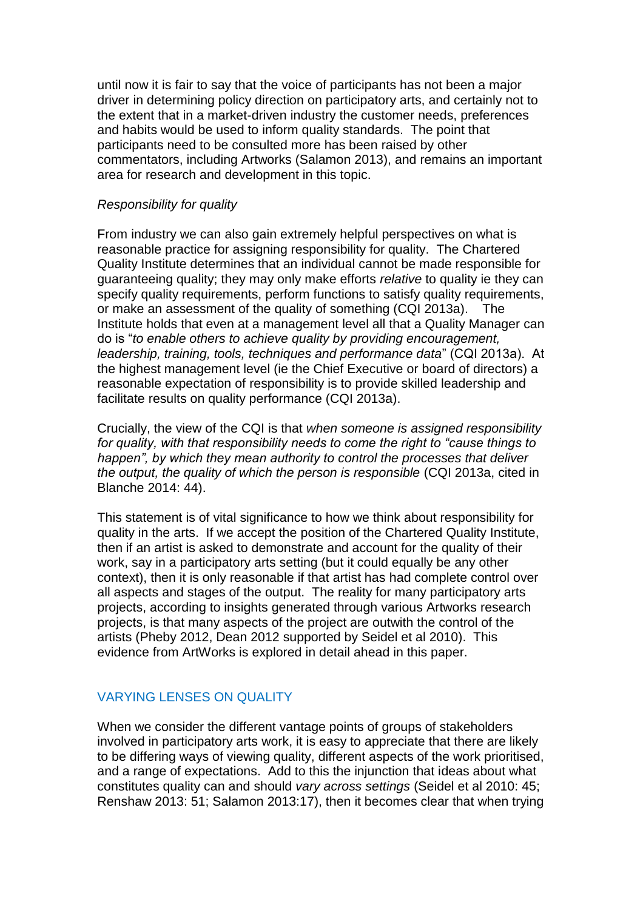until now it is fair to say that the voice of participants has not been a major driver in determining policy direction on participatory arts, and certainly not to the extent that in a market-driven industry the customer needs, preferences and habits would be used to inform quality standards. The point that participants need to be consulted more has been raised by other commentators, including Artworks (Salamon 2013), and remains an important area for research and development in this topic.

### *Responsibility for quality*

From industry we can also gain extremely helpful perspectives on what is reasonable practice for assigning responsibility for quality. The Chartered Quality Institute determines that an individual cannot be made responsible for guaranteeing quality; they may only make efforts *relative* to quality ie they can specify quality requirements, perform functions to satisfy quality requirements, or make an assessment of the quality of something (CQI 2013a). The Institute holds that even at a management level all that a Quality Manager can do is "*to enable others to achieve quality by providing encouragement, leadership, training, tools, techniques and performance data*" (CQI 2013a). At the highest management level (ie the Chief Executive or board of directors) a reasonable expectation of responsibility is to provide skilled leadership and facilitate results on quality performance (CQI 2013a).

Crucially, the view of the CQI is that *when someone is assigned responsibility for quality, with that responsibility needs to come the right to "cause things to happen", by which they mean authority to control the processes that deliver the output, the quality of which the person is responsible* (CQI 2013a, cited in Blanche 2014: 44).

This statement is of vital significance to how we think about responsibility for quality in the arts. If we accept the position of the Chartered Quality Institute, then if an artist is asked to demonstrate and account for the quality of their work, say in a participatory arts setting (but it could equally be any other context), then it is only reasonable if that artist has had complete control over all aspects and stages of the output. The reality for many participatory arts projects, according to insights generated through various Artworks research projects, is that many aspects of the project are outwith the control of the artists (Pheby 2012, Dean 2012 supported by Seidel et al 2010). This evidence from ArtWorks is explored in detail ahead in this paper.

## VARYING LENSES ON QUALITY

When we consider the different vantage points of groups of stakeholders involved in participatory arts work, it is easy to appreciate that there are likely to be differing ways of viewing quality, different aspects of the work prioritised, and a range of expectations. Add to this the injunction that ideas about what constitutes quality can and should *vary across settings* (Seidel et al 2010: 45; Renshaw 2013: 51; Salamon 2013:17), then it becomes clear that when trying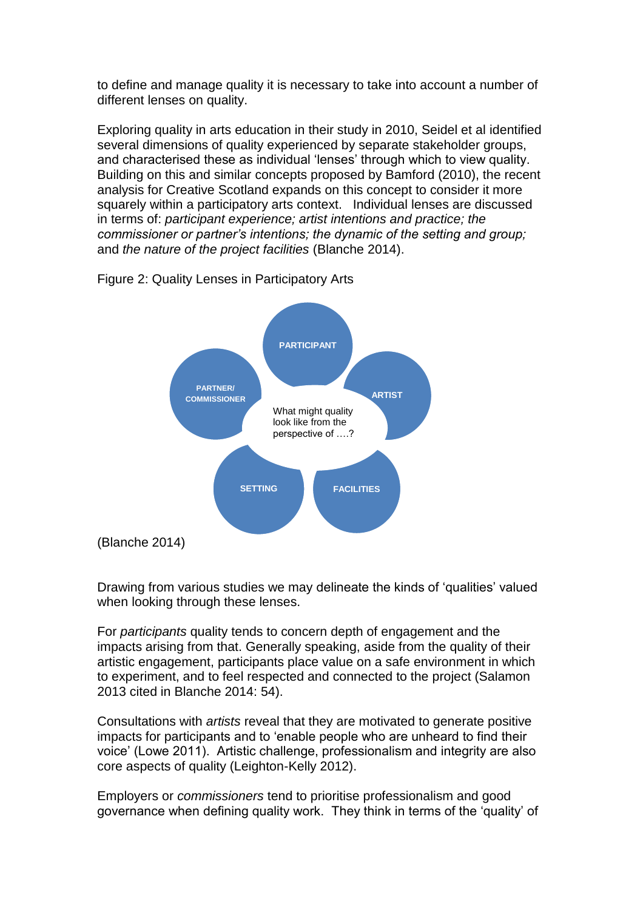to define and manage quality it is necessary to take into account a number of different lenses on quality.

Exploring quality in arts education in their study in 2010, Seidel et al identified several dimensions of quality experienced by separate stakeholder groups, and characterised these as individual 'lenses' through which to view quality. Building on this and similar concepts proposed by Bamford (2010), the recent analysis for Creative Scotland expands on this concept to consider it more squarely within a participatory arts context. Individual lenses are discussed in terms of: *participant experience; artist intentions and practice; the commissioner or partner's intentions; the dynamic of the setting and group;*  and *the nature of the project facilities* (Blanche 2014).





Drawing from various studies we may delineate the kinds of 'qualities' valued when looking through these lenses.

For *participants* quality tends to concern depth of engagement and the impacts arising from that. Generally speaking, aside from the quality of their artistic engagement, participants place value on a safe environment in which to experiment, and to feel respected and connected to the project (Salamon 2013 cited in Blanche 2014: 54).

Consultations with *artists* reveal that they are motivated to generate positive impacts for participants and to 'enable people who are unheard to find their voice' (Lowe 2011). Artistic challenge, professionalism and integrity are also core aspects of quality (Leighton-Kelly 2012).

Employers or *commissioners* tend to prioritise professionalism and good governance when defining quality work. They think in terms of the 'quality' of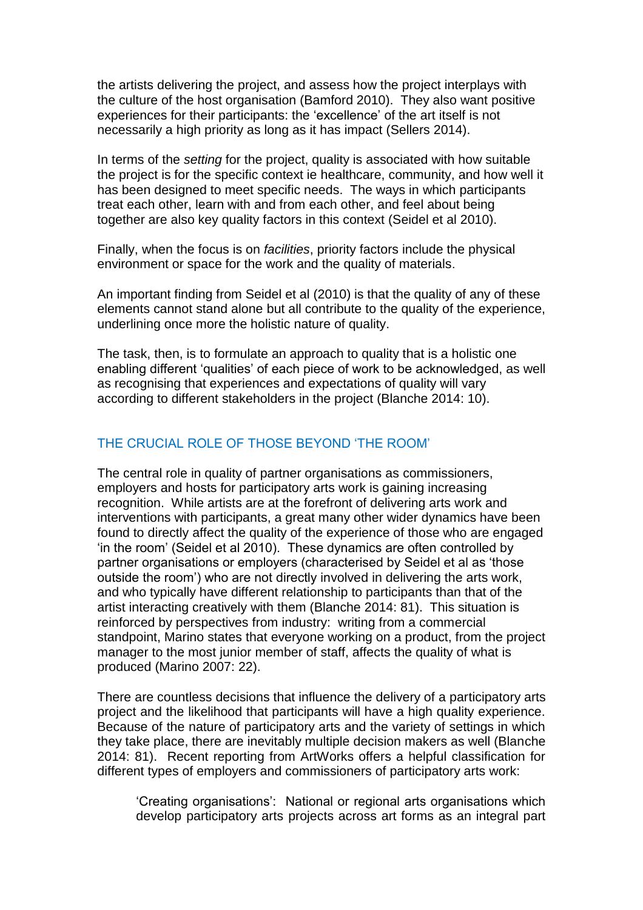the artists delivering the project, and assess how the project interplays with the culture of the host organisation (Bamford 2010). They also want positive experiences for their participants: the 'excellence' of the art itself is not necessarily a high priority as long as it has impact (Sellers 2014).

In terms of the *setting* for the project, quality is associated with how suitable the project is for the specific context ie healthcare, community, and how well it has been designed to meet specific needs. The ways in which participants treat each other, learn with and from each other, and feel about being together are also key quality factors in this context (Seidel et al 2010).

Finally, when the focus is on *facilities*, priority factors include the physical environment or space for the work and the quality of materials.

An important finding from Seidel et al (2010) is that the quality of any of these elements cannot stand alone but all contribute to the quality of the experience, underlining once more the holistic nature of quality.

The task, then, is to formulate an approach to quality that is a holistic one enabling different 'qualities' of each piece of work to be acknowledged, as well as recognising that experiences and expectations of quality will vary according to different stakeholders in the project (Blanche 2014: 10).

### THE CRUCIAL ROLE OF THOSE BEYOND 'THE ROOM'

The central role in quality of partner organisations as commissioners, employers and hosts for participatory arts work is gaining increasing recognition. While artists are at the forefront of delivering arts work and interventions with participants, a great many other wider dynamics have been found to directly affect the quality of the experience of those who are engaged 'in the room' (Seidel et al 2010). These dynamics are often controlled by partner organisations or employers (characterised by Seidel et al as 'those outside the room') who are not directly involved in delivering the arts work, and who typically have different relationship to participants than that of the artist interacting creatively with them (Blanche 2014: 81). This situation is reinforced by perspectives from industry: writing from a commercial standpoint, Marino states that everyone working on a product, from the project manager to the most junior member of staff, affects the quality of what is produced (Marino 2007: 22).

There are countless decisions that influence the delivery of a participatory arts project and the likelihood that participants will have a high quality experience. Because of the nature of participatory arts and the variety of settings in which they take place, there are inevitably multiple decision makers as well (Blanche 2014: 81). Recent reporting from ArtWorks offers a helpful classification for different types of employers and commissioners of participatory arts work:

'Creating organisations': National or regional arts organisations which develop participatory arts projects across art forms as an integral part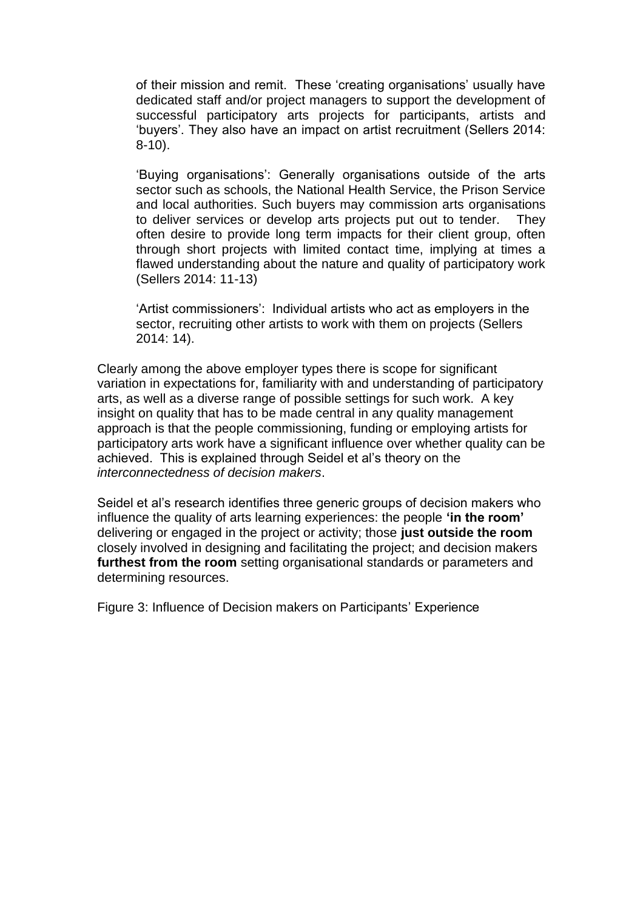of their mission and remit. These 'creating organisations' usually have dedicated staff and/or project managers to support the development of successful participatory arts projects for participants, artists and 'buyers'. They also have an impact on artist recruitment (Sellers 2014: 8-10).

'Buying organisations': Generally organisations outside of the arts sector such as schools, the National Health Service, the Prison Service and local authorities. Such buyers may commission arts organisations to deliver services or develop arts projects put out to tender. They often desire to provide long term impacts for their client group, often through short projects with limited contact time, implying at times a flawed understanding about the nature and quality of participatory work (Sellers 2014: 11-13)

'Artist commissioners': Individual artists who act as employers in the sector, recruiting other artists to work with them on projects (Sellers 2014: 14).

Clearly among the above employer types there is scope for significant variation in expectations for, familiarity with and understanding of participatory arts, as well as a diverse range of possible settings for such work. A key insight on quality that has to be made central in any quality management approach is that the people commissioning, funding or employing artists for participatory arts work have a significant influence over whether quality can be achieved. This is explained through Seidel et al's theory on the *interconnectedness of decision makers*.

Seidel et al's research identifies three generic groups of decision makers who influence the quality of arts learning experiences: the people **'in the room'** delivering or engaged in the project or activity; those **just outside the room** closely involved in designing and facilitating the project; and decision makers **furthest from the room** setting organisational standards or parameters and determining resources.

Figure 3: Influence of Decision makers on Participants' Experience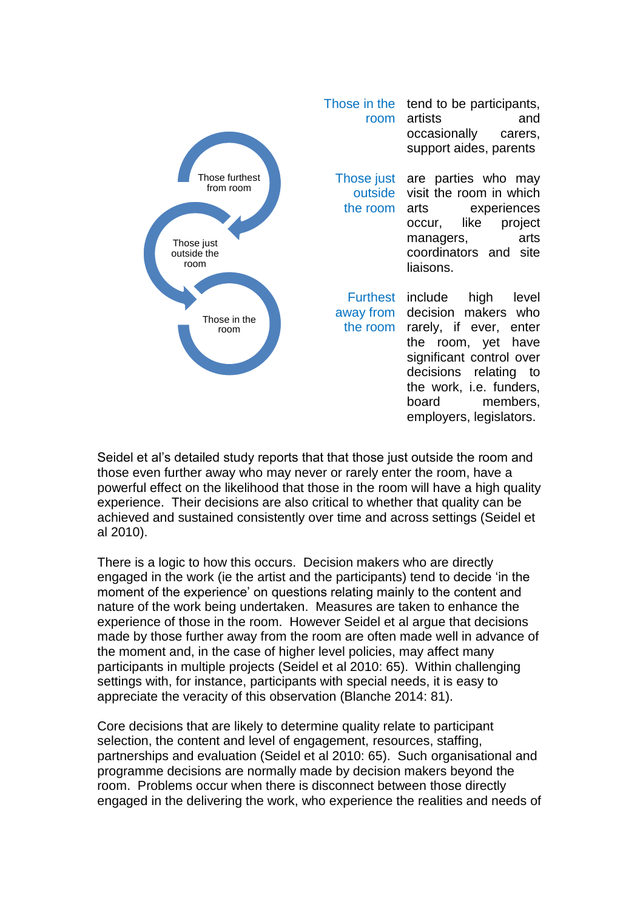

Those in the tend to be participants, room artists and occasionally carers, support aides, parents

Those just are parties who may outside visit the room in which the room experiences occur, like project managers, arts coordinators and site liaisons.

Furthest include high level away from decision makers who the room rarely, if ever, enter the room, yet have significant control over decisions relating to the work, i.e. funders, board members, employers, legislators.

Seidel et al's detailed study reports that that those just outside the room and those even further away who may never or rarely enter the room, have a powerful effect on the likelihood that those in the room will have a high quality experience. Their decisions are also critical to whether that quality can be achieved and sustained consistently over time and across settings (Seidel et al 2010). (Adapted from Seidel  $\frac{1}{2}$ outside th

There is a logic to how this occurs. Decision makers who are directly engaged in the work (ie the artist and the participants) tend to decide 'in the moment of the experience' on questions relating mainly to the content and nature of the work being undertaken. Measures are taken to enhance the experience of those in the room. However Seidel et al argue that decisions made by those further away from the room are often made well in advance of the moment and, in the case of higher level policies, may affect many participants in multiple projects (Seidel et al 2010: 65). Within challenging settings with, for instance, participants with special needs, it is easy to appreciate the veracity of this observation (Blanche 2014: 81).

Core decisions that are likely to determine quality relate to participant selection, the content and level of engagement, resources, staffing, partnerships and evaluation (Seidel et al 2010: 65). Such organisational and programme decisions are normally made by decision makers beyond the room. Problems occur when there is disconnect between those directly engaged in the delivering the work, who experience the realities and needs of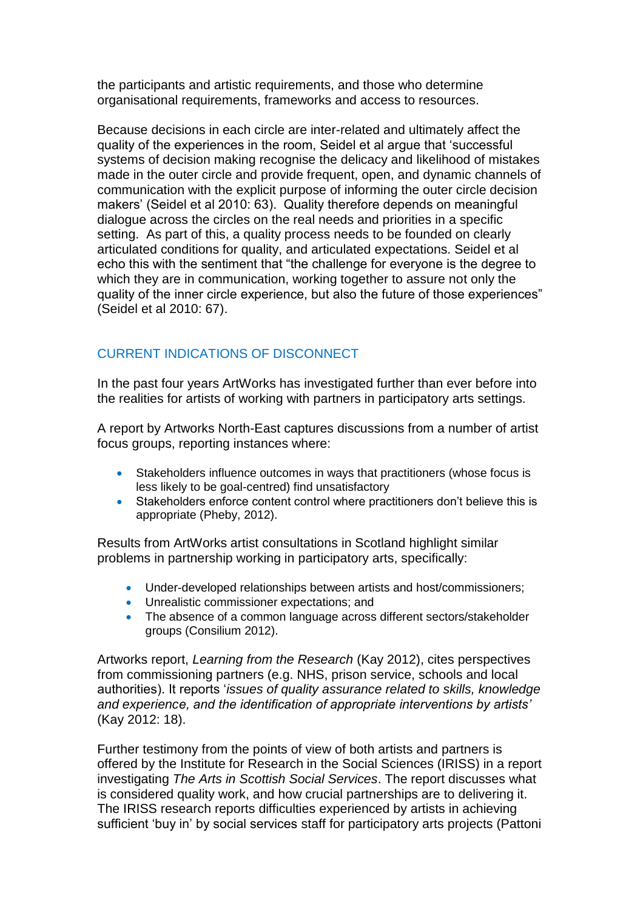the participants and artistic requirements, and those who determine organisational requirements, frameworks and access to resources.

Because decisions in each circle are inter-related and ultimately affect the quality of the experiences in the room, Seidel et al argue that 'successful systems of decision making recognise the delicacy and likelihood of mistakes made in the outer circle and provide frequent, open, and dynamic channels of communication with the explicit purpose of informing the outer circle decision makers' (Seidel et al 2010: 63). Quality therefore depends on meaningful dialogue across the circles on the real needs and priorities in a specific setting. As part of this, a quality process needs to be founded on clearly articulated conditions for quality, and articulated expectations. Seidel et al echo this with the sentiment that "the challenge for everyone is the degree to which they are in communication, working together to assure not only the quality of the inner circle experience, but also the future of those experiences" (Seidel et al 2010: 67).

# CURRENT INDICATIONS OF DISCONNECT

In the past four years ArtWorks has investigated further than ever before into the realities for artists of working with partners in participatory arts settings.

A report by Artworks North-East captures discussions from a number of artist focus groups, reporting instances where:

- Stakeholders influence outcomes in ways that practitioners (whose focus is less likely to be goal-centred) find unsatisfactory
- Stakeholders enforce content control where practitioners don't believe this is appropriate (Pheby, 2012).

Results from ArtWorks artist consultations in Scotland highlight similar problems in partnership working in participatory arts, specifically:

- Under-developed relationships between artists and host/commissioners;
- **•** Unrealistic commissioner expectations; and
- The absence of a common language across different sectors/stakeholder groups (Consilium 2012).

Artworks report, *Learning from the Research* (Kay 2012), cites perspectives from commissioning partners (e.g. NHS, prison service, schools and local authorities). It reports '*issues of quality assurance related to skills, knowledge and experience, and the identification of appropriate interventions by artists'*  (Kay 2012: 18).

Further testimony from the points of view of both artists and partners is offered by the Institute for Research in the Social Sciences (IRISS) in a report investigating *The Arts in Scottish Social Services*. The report discusses what is considered quality work, and how crucial partnerships are to delivering it. The IRISS research reports difficulties experienced by artists in achieving sufficient 'buy in' by social services staff for participatory arts projects (Pattoni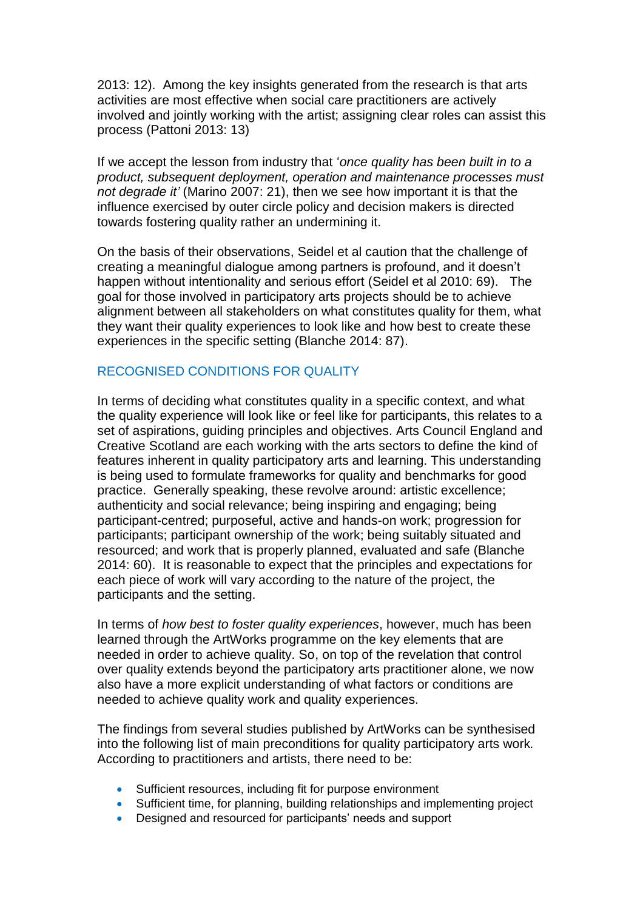2013: 12). Among the key insights generated from the research is that arts activities are most effective when social care practitioners are actively involved and jointly working with the artist; assigning clear roles can assist this process (Pattoni 2013: 13)

If we accept the lesson from industry that '*once quality has been built in to a product, subsequent deployment, operation and maintenance processes must not degrade it'* (Marino 2007: 21), then we see how important it is that the influence exercised by outer circle policy and decision makers is directed towards fostering quality rather an undermining it.

On the basis of their observations, Seidel et al caution that the challenge of creating a meaningful dialogue among partners is profound, and it doesn't happen without intentionality and serious effort (Seidel et al 2010: 69). The goal for those involved in participatory arts projects should be to achieve alignment between all stakeholders on what constitutes quality for them, what they want their quality experiences to look like and how best to create these experiences in the specific setting (Blanche 2014: 87).

# RECOGNISED CONDITIONS FOR QUALITY

In terms of deciding what constitutes quality in a specific context, and what the quality experience will look like or feel like for participants, this relates to a set of aspirations, guiding principles and objectives. Arts Council England and Creative Scotland are each working with the arts sectors to define the kind of features inherent in quality participatory arts and learning. This understanding is being used to formulate frameworks for quality and benchmarks for good practice. Generally speaking, these revolve around: artistic excellence; authenticity and social relevance; being inspiring and engaging; being participant-centred; purposeful, active and hands-on work; progression for participants; participant ownership of the work; being suitably situated and resourced; and work that is properly planned, evaluated and safe (Blanche 2014: 60). It is reasonable to expect that the principles and expectations for each piece of work will vary according to the nature of the project, the participants and the setting.

In terms of *how best to foster quality experiences*, however, much has been learned through the ArtWorks programme on the key elements that are needed in order to achieve quality. So, on top of the revelation that control over quality extends beyond the participatory arts practitioner alone, we now also have a more explicit understanding of what factors or conditions are needed to achieve quality work and quality experiences.

The findings from several studies published by ArtWorks can be synthesised into the following list of main preconditions for quality participatory arts work*.*  According to practitioners and artists, there need to be:

- Sufficient resources, including fit for purpose environment
- Sufficient time, for planning, building relationships and implementing project
- Designed and resourced for participants' needs and support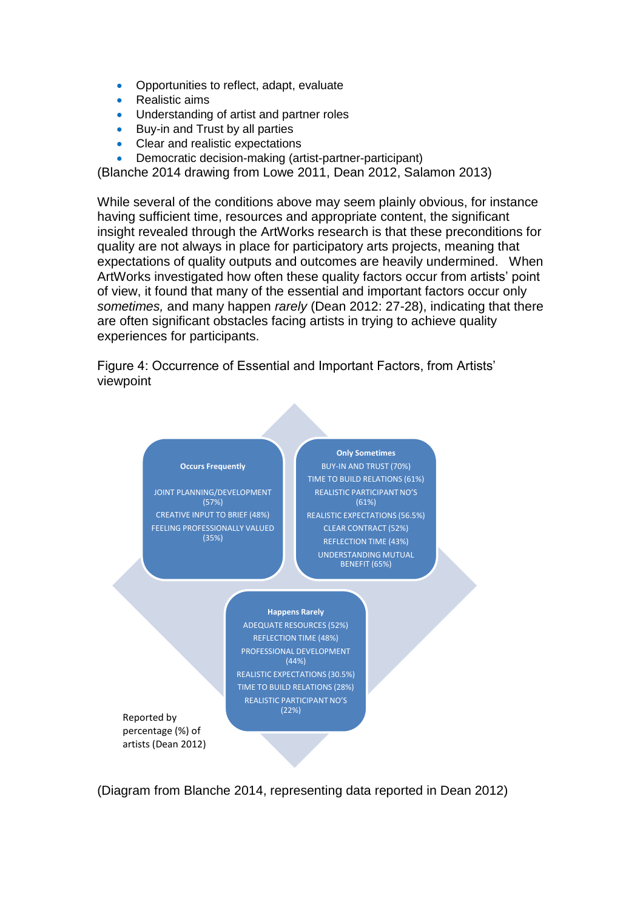- Opportunities to reflect, adapt, evaluate
- Realistic aims
- Understanding of artist and partner roles
- Buy-in and Trust by all parties
- Clear and realistic expectations
- Democratic decision-making (artist-partner-participant)

(Blanche 2014 drawing from Lowe 2011, Dean 2012, Salamon 2013)

While several of the conditions above may seem plainly obvious, for instance having sufficient time, resources and appropriate content, the significant insight revealed through the ArtWorks research is that these preconditions for quality are not always in place for participatory arts projects, meaning that expectations of quality outputs and outcomes are heavily undermined. When ArtWorks investigated how often these quality factors occur from artists' point of view, it found that many of the essential and important factors occur only *sometimes,* and many happen *rarely* (Dean 2012: 27-28), indicating that there are often significant obstacles facing artists in trying to achieve quality experiences for participants.

Figure 4: Occurrence of Essential and Important Factors, from Artists' viewpoint



percentage (%) of artists (Dean 2012)

(Diagram from Blanche 2014, representing data reported in Dean 2012)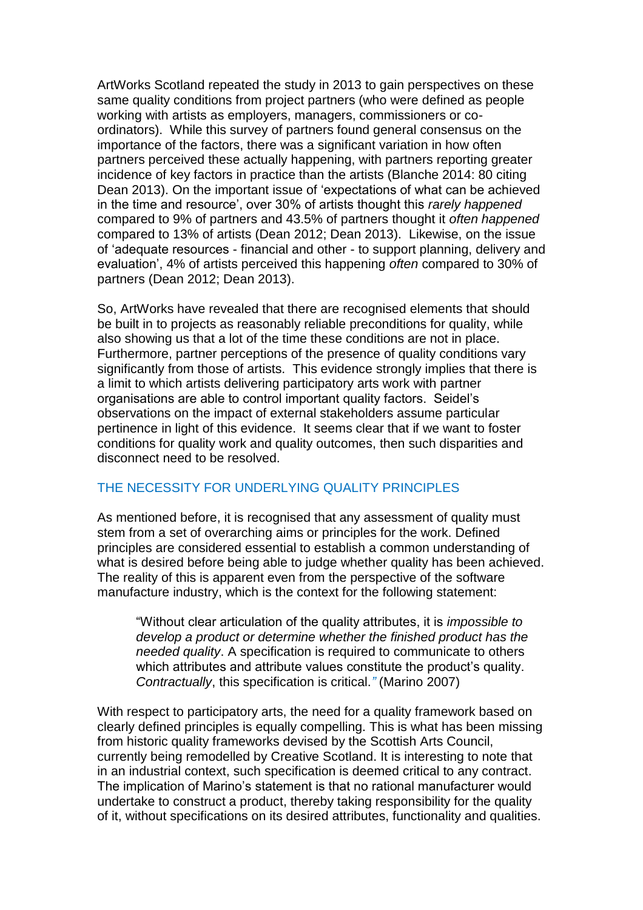ArtWorks Scotland repeated the study in 2013 to gain perspectives on these same quality conditions from project partners (who were defined as people working with artists as employers, managers, commissioners or coordinators). While this survey of partners found general consensus on the importance of the factors, there was a significant variation in how often partners perceived these actually happening, with partners reporting greater incidence of key factors in practice than the artists (Blanche 2014: 80 citing Dean 2013). On the important issue of 'expectations of what can be achieved in the time and resource', over 30% of artists thought this *rarely happened* compared to 9% of partners and 43.5% of partners thought it *often happened*  compared to 13% of artists (Dean 2012; Dean 2013). Likewise, on the issue of 'adequate resources - financial and other - to support planning, delivery and evaluation', 4% of artists perceived this happening *often* compared to 30% of partners (Dean 2012; Dean 2013).

So, ArtWorks have revealed that there are recognised elements that should be built in to projects as reasonably reliable preconditions for quality, while also showing us that a lot of the time these conditions are not in place. Furthermore, partner perceptions of the presence of quality conditions vary significantly from those of artists. This evidence strongly implies that there is a limit to which artists delivering participatory arts work with partner organisations are able to control important quality factors. Seidel's observations on the impact of external stakeholders assume particular pertinence in light of this evidence. It seems clear that if we want to foster conditions for quality work and quality outcomes, then such disparities and disconnect need to be resolved.

# THE NECESSITY FOR UNDERLYING QUALITY PRINCIPLES

As mentioned before, it is recognised that any assessment of quality must stem from a set of overarching aims or principles for the work. Defined principles are considered essential to establish a common understanding of what is desired before being able to judge whether quality has been achieved. The reality of this is apparent even from the perspective of the software manufacture industry, which is the context for the following statement:

"Without clear articulation of the quality attributes, it is *impossible to develop a product or determine whether the finished product has the needed quality*. A specification is required to communicate to others which attributes and attribute values constitute the product's quality. *Contractually*, this specification is critical.*"* (Marino 2007)

With respect to participatory arts, the need for a quality framework based on clearly defined principles is equally compelling. This is what has been missing from historic quality frameworks devised by the Scottish Arts Council, currently being remodelled by Creative Scotland. It is interesting to note that in an industrial context, such specification is deemed critical to any contract. The implication of Marino's statement is that no rational manufacturer would undertake to construct a product, thereby taking responsibility for the quality of it, without specifications on its desired attributes, functionality and qualities.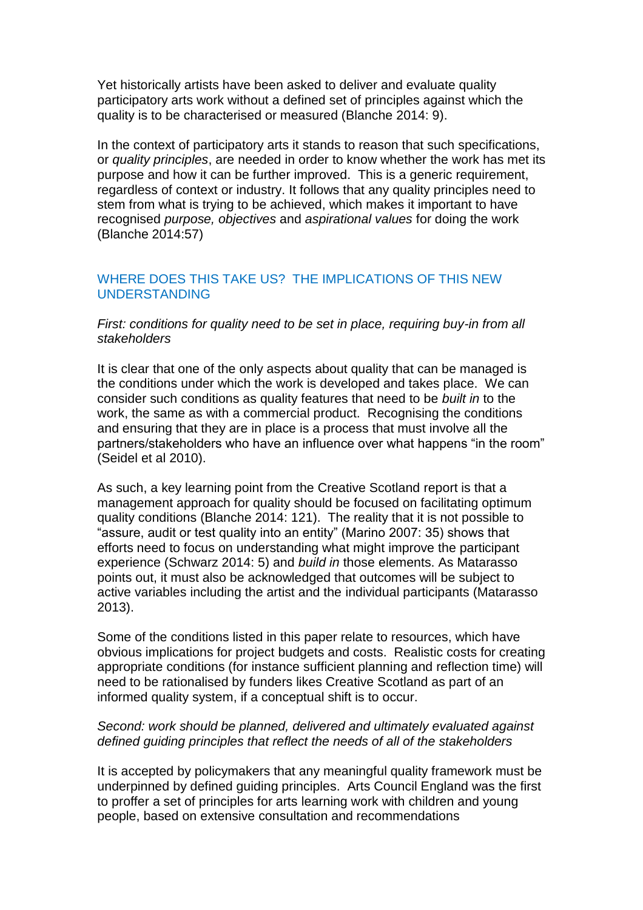Yet historically artists have been asked to deliver and evaluate quality participatory arts work without a defined set of principles against which the quality is to be characterised or measured (Blanche 2014: 9).

In the context of participatory arts it stands to reason that such specifications, or *quality principles*, are needed in order to know whether the work has met its purpose and how it can be further improved. This is a generic requirement, regardless of context or industry. It follows that any quality principles need to stem from what is trying to be achieved, which makes it important to have recognised *purpose, objectives* and *aspirational values* for doing the work (Blanche 2014:57)

## WHERE DOES THIS TAKE US? THE IMPLICATIONS OF THIS NEW UNDERSTANDING

### *First: conditions for quality need to be set in place, requiring buy-in from all stakeholders*

It is clear that one of the only aspects about quality that can be managed is the conditions under which the work is developed and takes place. We can consider such conditions as quality features that need to be *built in* to the work, the same as with a commercial product. Recognising the conditions and ensuring that they are in place is a process that must involve all the partners/stakeholders who have an influence over what happens "in the room" (Seidel et al 2010).

As such, a key learning point from the Creative Scotland report is that a management approach for quality should be focused on facilitating optimum quality conditions (Blanche 2014: 121). The reality that it is not possible to "assure, audit or test quality into an entity" (Marino 2007: 35) shows that efforts need to focus on understanding what might improve the participant experience (Schwarz 2014: 5) and *build in* those elements. As Matarasso points out, it must also be acknowledged that outcomes will be subject to active variables including the artist and the individual participants (Matarasso 2013).

Some of the conditions listed in this paper relate to resources, which have obvious implications for project budgets and costs. Realistic costs for creating appropriate conditions (for instance sufficient planning and reflection time) will need to be rationalised by funders likes Creative Scotland as part of an informed quality system, if a conceptual shift is to occur.

### *Second: work should be planned, delivered and ultimately evaluated against defined guiding principles that reflect the needs of all of the stakeholders*

It is accepted by policymakers that any meaningful quality framework must be underpinned by defined guiding principles. Arts Council England was the first to proffer a set of principles for arts learning work with children and young people, based on extensive consultation and recommendations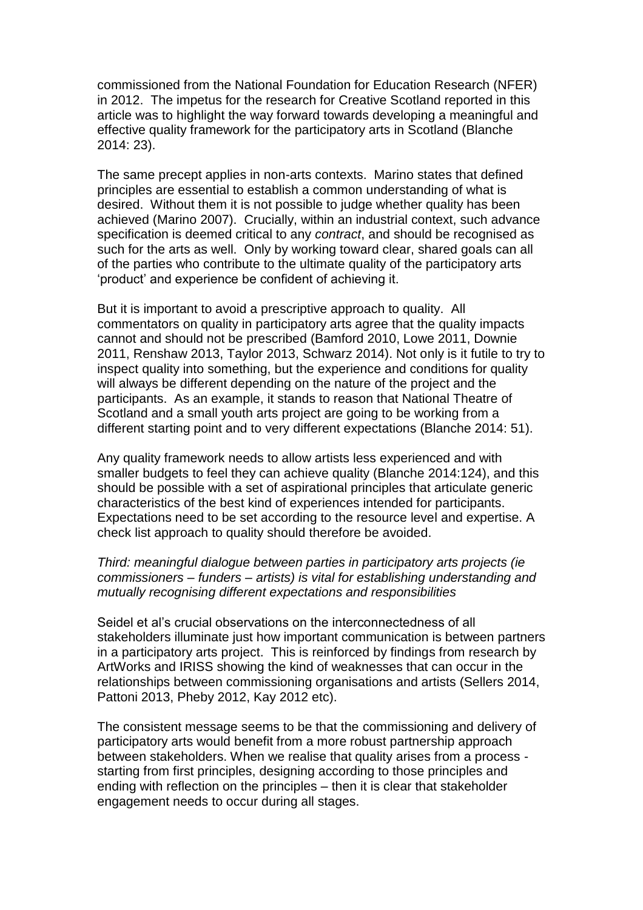commissioned from the National Foundation for Education Research (NFER) in 2012. The impetus for the research for Creative Scotland reported in this article was to highlight the way forward towards developing a meaningful and effective quality framework for the participatory arts in Scotland (Blanche 2014: 23).

The same precept applies in non-arts contexts. Marino states that defined principles are essential to establish a common understanding of what is desired. Without them it is not possible to judge whether quality has been achieved (Marino 2007). Crucially, within an industrial context, such advance specification is deemed critical to any *contract*, and should be recognised as such for the arts as well. Only by working toward clear, shared goals can all of the parties who contribute to the ultimate quality of the participatory arts 'product' and experience be confident of achieving it.

But it is important to avoid a prescriptive approach to quality. All commentators on quality in participatory arts agree that the quality impacts cannot and should not be prescribed (Bamford 2010, Lowe 2011, Downie 2011, Renshaw 2013, Taylor 2013, Schwarz 2014). Not only is it futile to try to inspect quality into something, but the experience and conditions for quality will always be different depending on the nature of the project and the participants. As an example, it stands to reason that National Theatre of Scotland and a small youth arts project are going to be working from a different starting point and to very different expectations (Blanche 2014: 51).

Any quality framework needs to allow artists less experienced and with smaller budgets to feel they can achieve quality (Blanche 2014:124), and this should be possible with a set of aspirational principles that articulate generic characteristics of the best kind of experiences intended for participants. Expectations need to be set according to the resource level and expertise. A check list approach to quality should therefore be avoided.

### *Third: meaningful dialogue between parties in participatory arts projects (ie commissioners – funders – artists) is vital for establishing understanding and mutually recognising different expectations and responsibilities*

Seidel et al's crucial observations on the interconnectedness of all stakeholders illuminate just how important communication is between partners in a participatory arts project. This is reinforced by findings from research by ArtWorks and IRISS showing the kind of weaknesses that can occur in the relationships between commissioning organisations and artists (Sellers 2014, Pattoni 2013, Pheby 2012, Kay 2012 etc).

The consistent message seems to be that the commissioning and delivery of participatory arts would benefit from a more robust partnership approach between stakeholders. When we realise that quality arises from a process starting from first principles, designing according to those principles and ending with reflection on the principles – then it is clear that stakeholder engagement needs to occur during all stages.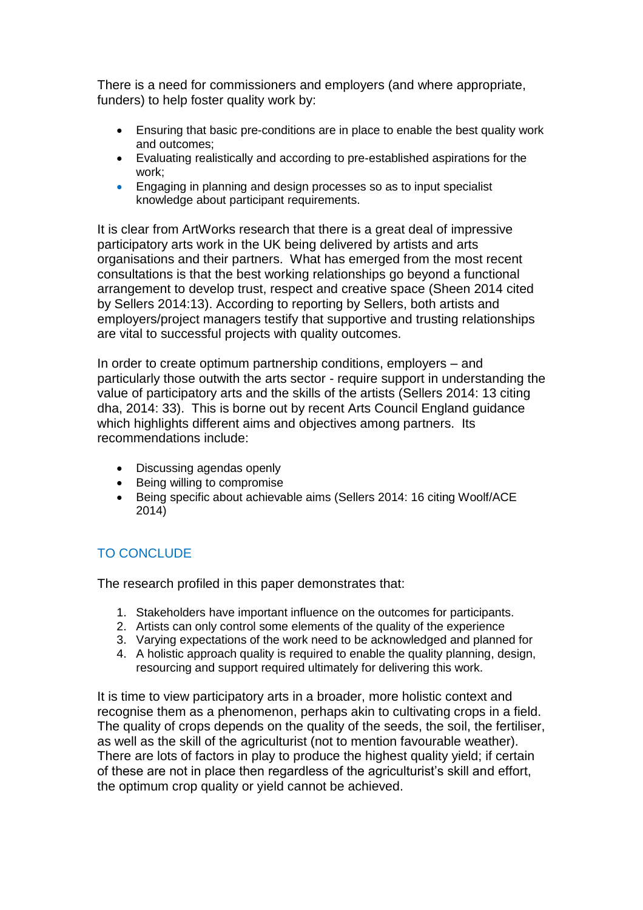There is a need for commissioners and employers (and where appropriate, funders) to help foster quality work by:

- Ensuring that basic pre-conditions are in place to enable the best quality work and outcomes;
- Evaluating realistically and according to pre-established aspirations for the work;
- Engaging in planning and design processes so as to input specialist knowledge about participant requirements.

It is clear from ArtWorks research that there is a great deal of impressive participatory arts work in the UK being delivered by artists and arts organisations and their partners. What has emerged from the most recent consultations is that the best working relationships go beyond a functional arrangement to develop trust, respect and creative space (Sheen 2014 cited by Sellers 2014:13). According to reporting by Sellers, both artists and employers/project managers testify that supportive and trusting relationships are vital to successful projects with quality outcomes.

In order to create optimum partnership conditions, employers – and particularly those outwith the arts sector - require support in understanding the value of participatory arts and the skills of the artists (Sellers 2014: 13 citing dha, 2014: 33). This is borne out by recent Arts Council England guidance which highlights different aims and objectives among partners. Its recommendations include:

- Discussing agendas openly
- Being willing to compromise
- Being specific about achievable aims (Sellers 2014: 16 citing Woolf/ACE 2014)

# TO CONCLUDE

The research profiled in this paper demonstrates that:

- 1. Stakeholders have important influence on the outcomes for participants.
- 2. Artists can only control some elements of the quality of the experience
- 3. Varying expectations of the work need to be acknowledged and planned for
- 4. A holistic approach quality is required to enable the quality planning, design, resourcing and support required ultimately for delivering this work.

It is time to view participatory arts in a broader, more holistic context and recognise them as a phenomenon, perhaps akin to cultivating crops in a field. The quality of crops depends on the quality of the seeds, the soil, the fertiliser, as well as the skill of the agriculturist (not to mention favourable weather). There are lots of factors in play to produce the highest quality yield; if certain of these are not in place then regardless of the agriculturist's skill and effort, the optimum crop quality or yield cannot be achieved.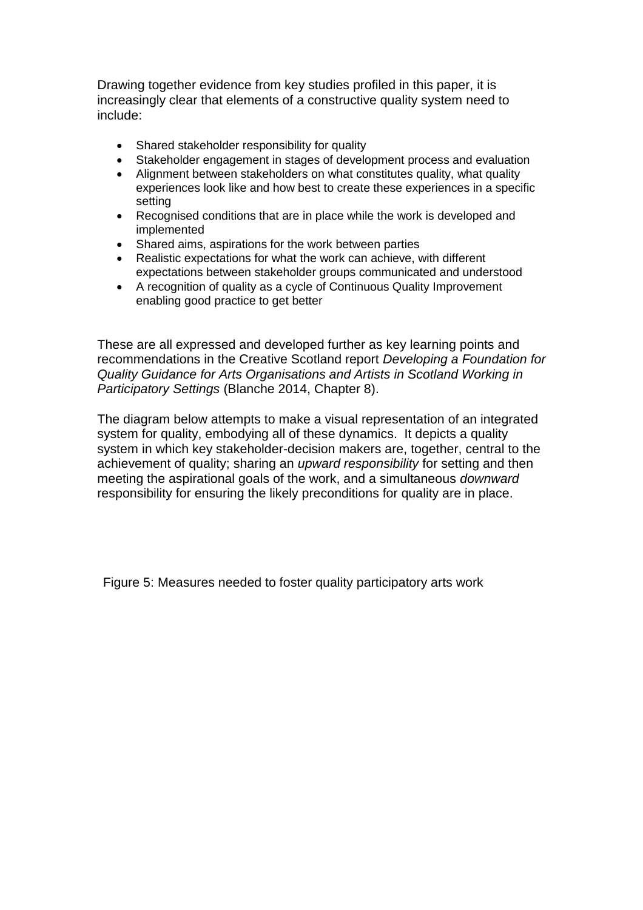Drawing together evidence from key studies profiled in this paper, it is increasingly clear that elements of a constructive quality system need to include:

- Shared stakeholder responsibility for quality
- Stakeholder engagement in stages of development process and evaluation
- Alignment between stakeholders on what constitutes quality, what quality experiences look like and how best to create these experiences in a specific setting
- Recognised conditions that are in place while the work is developed and implemented
- Shared aims, aspirations for the work between parties
- Realistic expectations for what the work can achieve, with different expectations between stakeholder groups communicated and understood
- A recognition of quality as a cycle of Continuous Quality Improvement enabling good practice to get better

These are all expressed and developed further as key learning points and recommendations in the Creative Scotland report *Developing a Foundation for Quality Guidance for Arts Organisations and Artists in Scotland Working in Participatory Settings* (Blanche 2014, Chapter 8).

The diagram below attempts to make a visual representation of an integrated system for quality, embodying all of these dynamics. It depicts a quality system in which key stakeholder-decision makers are, together, central to the achievement of quality; sharing an *upward responsibility* for setting and then meeting the aspirational goals of the work, and a simultaneous *downward*  responsibility for ensuring the likely preconditions for quality are in place.

Figure 5: Measures needed to foster quality participatory arts work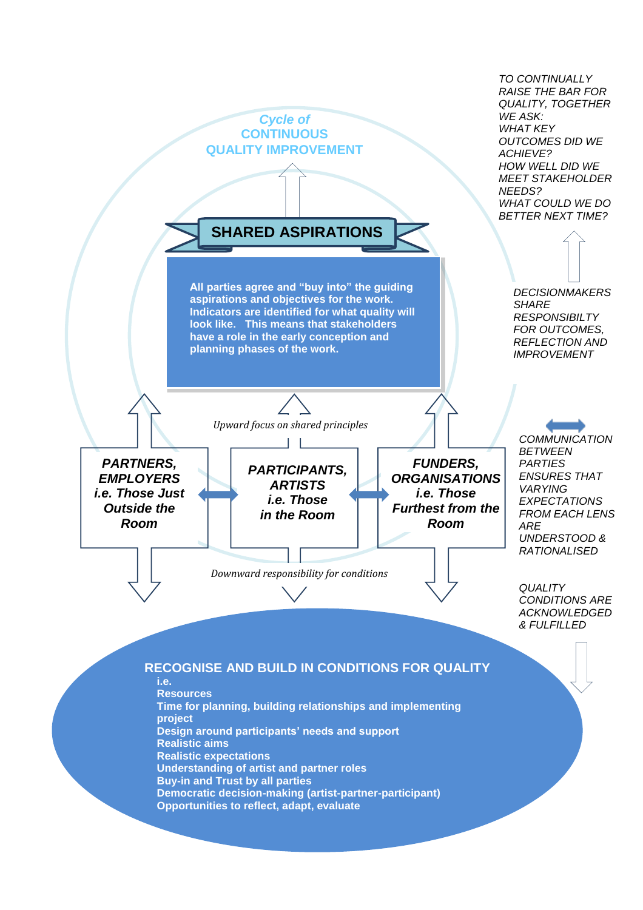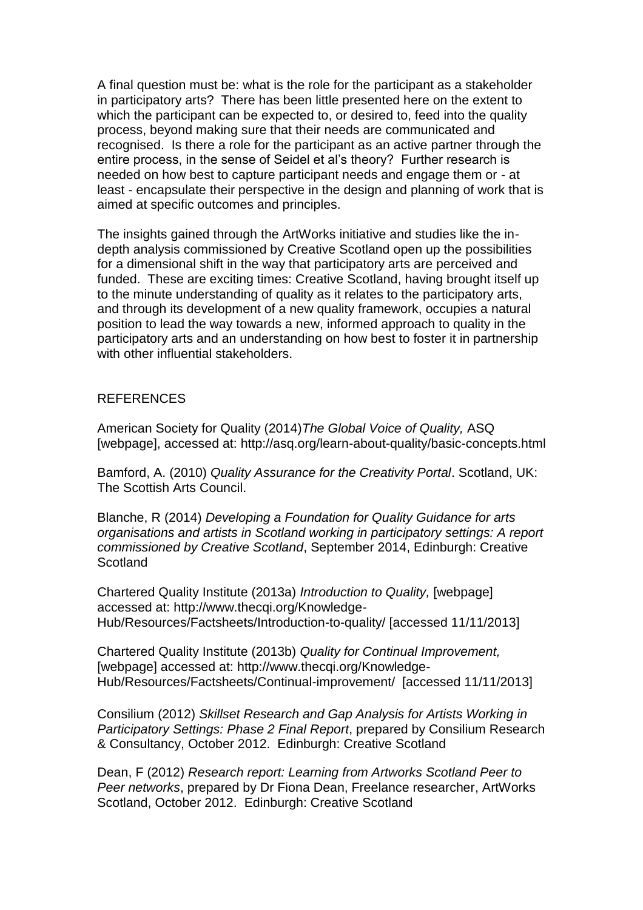A final question must be: what is the role for the participant as a stakeholder in participatory arts? There has been little presented here on the extent to which the participant can be expected to, or desired to, feed into the quality process, beyond making sure that their needs are communicated and recognised. Is there a role for the participant as an active partner through the entire process, in the sense of Seidel et al's theory? Further research is needed on how best to capture participant needs and engage them or - at least - encapsulate their perspective in the design and planning of work that is aimed at specific outcomes and principles.

The insights gained through the ArtWorks initiative and studies like the indepth analysis commissioned by Creative Scotland open up the possibilities for a dimensional shift in the way that participatory arts are perceived and funded. These are exciting times: Creative Scotland, having brought itself up to the minute understanding of quality as it relates to the participatory arts, and through its development of a new quality framework, occupies a natural position to lead the way towards a new, informed approach to quality in the participatory arts and an understanding on how best to foster it in partnership with other influential stakeholders.

### **REFERENCES**

American Society for Quality (2014)*The Global Voice of Quality,* ASQ [webpage], accessed at: http://asq.org/learn-about-quality/basic-concepts.html

Bamford, A. (2010) *Quality Assurance for the Creativity Portal*. Scotland, UK: The Scottish Arts Council.

Blanche, R (2014) *Developing a Foundation for Quality Guidance for arts organisations and artists in Scotland working in participatory settings: A report commissioned by Creative Scotland*, September 2014, Edinburgh: Creative **Scotland** 

Chartered Quality Institute (2013a) *Introduction to Quality,* [webpage] accessed at: http://www.thecqi.org/Knowledge-Hub/Resources/Factsheets/Introduction-to-quality/ [accessed 11/11/2013]

Chartered Quality Institute (2013b) *Quality for Continual Improvement,*  [webpage] accessed at: [http://www.thecqi.org/Knowledge-](http://www.thecqi.org/Knowledge-Hub/Resources/Factsheets/Continual-improvement/)[Hub/Resources/Factsheets/Continual-improvement/](http://www.thecqi.org/Knowledge-Hub/Resources/Factsheets/Continual-improvement/) [accessed 11/11/2013]

Consilium (2012) *Skillset Research and Gap Analysis for Artists Working in Participatory Settings: Phase 2 Final Report*, prepared by Consilium Research & Consultancy, October 2012. Edinburgh: Creative Scotland

Dean, F (2012) *Research report: Learning from Artworks Scotland Peer to Peer networks*, prepared by Dr Fiona Dean, Freelance researcher, ArtWorks Scotland, October 2012. Edinburgh: Creative Scotland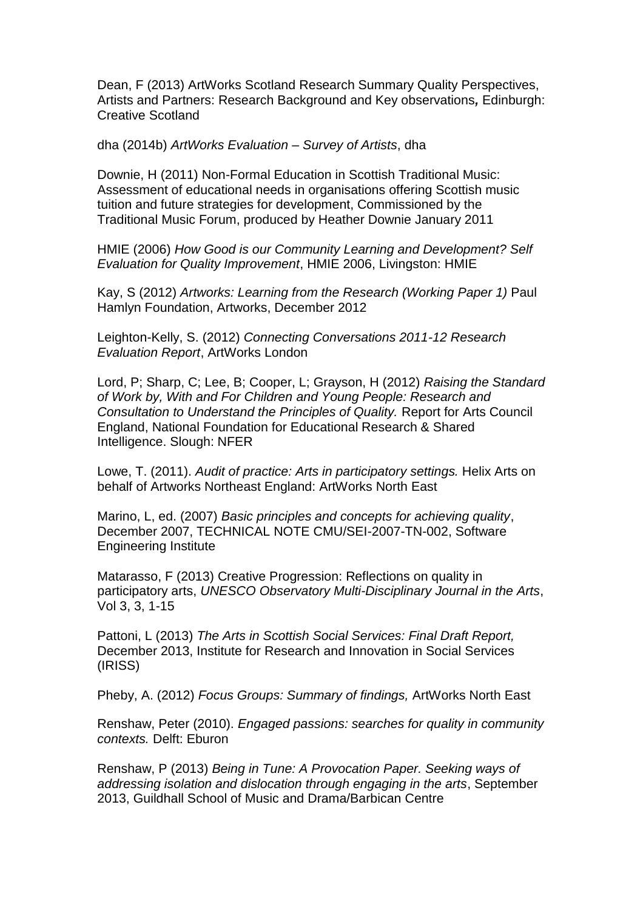Dean, F (2013) ArtWorks Scotland Research Summary Quality Perspectives, Artists and Partners: Research Background and Key observations*,* Edinburgh: Creative Scotland

dha (2014b) *ArtWorks Evaluation – Survey of Artists*, dha

Downie, H (2011) Non-Formal Education in Scottish Traditional Music: Assessment of educational needs in organisations offering Scottish music tuition and future strategies for development, Commissioned by the Traditional Music Forum, produced by Heather Downie January 2011

HMIE (2006) *How Good is our Community Learning and Development? Self Evaluation for Quality Improvement*, HMIE 2006, Livingston: HMIE

Kay, S (2012) *Artworks: Learning from the Research (Working Paper 1)* Paul Hamlyn Foundation, Artworks, December 2012

Leighton-Kelly, S. (2012) *Connecting Conversations 2011-12 Research Evaluation Report*, ArtWorks London

Lord, P; Sharp, C; Lee, B; Cooper, L; Grayson, H (2012) *Raising the Standard of Work by, With and For Children and Young People: Research and Consultation to Understand the Principles of Quality.* Report for Arts Council England, National Foundation for Educational Research & Shared Intelligence. Slough: NFER

Lowe, T. (2011). *Audit of practice: Arts in participatory settings.* Helix Arts on behalf of Artworks Northeast England: ArtWorks North East

Marino, L, ed. (2007) *Basic principles and concepts for achieving quality*, December 2007, TECHNICAL NOTE CMU/SEI-2007-TN-002, Software Engineering Institute

Matarasso, F (2013) Creative Progression: Reflections on quality in participatory arts, *UNESCO Observatory Multi-Disciplinary Journal in the Arts*, Vol 3, 3, 1-15

Pattoni, L (2013) *The Arts in Scottish Social Services: Final Draft Report,* December 2013, Institute for Research and Innovation in Social Services (IRISS)

Pheby, A. (2012) *Focus Groups: Summary of findings,* ArtWorks North East

Renshaw, Peter (2010). *Engaged passions: searches for quality in community contexts.* Delft: Eburon

Renshaw, P (2013) *Being in Tune: A Provocation Paper. Seeking ways of addressing isolation and dislocation through engaging in the arts*, September 2013, Guildhall School of Music and Drama/Barbican Centre